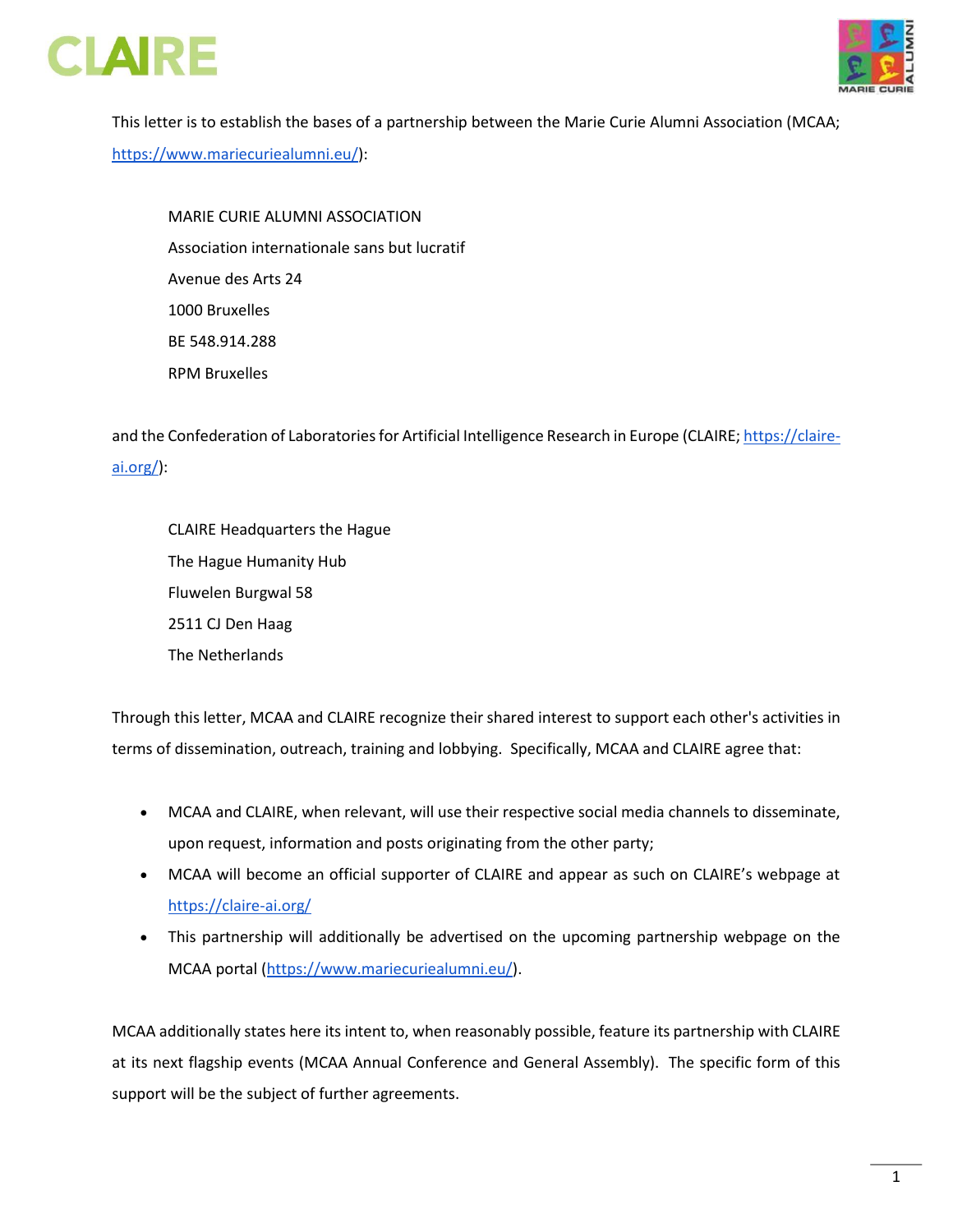



This letter is to establish the bases of a partnership between the Marie Curie Alumni Association (MCAA; [https://www.mariecuriealumni.eu/\)](https://www.mariecuriealumni.eu/):

MARIE CURIE ALUMNI ASSOCIATION Association internationale sans but lucratif Avenue des Arts 24 1000 Bruxelles BE 548.914.288 RPM Bruxelles

and the Confederation of Laboratories for Artificial Intelligence Research in Europe (CLAIRE[; https://claire](https://claire-ai.org/)[ai.org/\)](https://claire-ai.org/):

CLAIRE Headquarters the Hague The Hague Humanity Hub Fluwelen Burgwal 58 2511 CJ Den Haag The Netherlands

Through this letter, MCAA and CLAIRE recognize their shared interest to support each other's activities in terms of dissemination, outreach, training and lobbying. Specifically, MCAA and CLAIRE agree that:

- MCAA and CLAIRE, when relevant, will use their respective social media channels to disseminate, upon request, information and posts originating from the other party;
- MCAA will become an official supporter of CLAIRE and appear as such on CLAIRE's webpage at <https://claire-ai.org/>
- This partnership will additionally be advertised on the upcoming partnership webpage on the MCAA portal [\(https://www.mariecuriealumni.eu/\)](https://www.mariecuriealumni.eu/).

MCAA additionally states here its intent to, when reasonably possible, feature its partnership with CLAIRE at its next flagship events (MCAA Annual Conference and General Assembly). The specific form of this support will be the subject of further agreements.